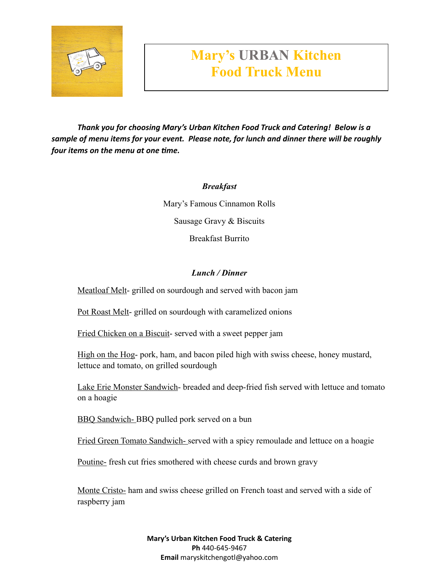

## **Mary's URBAN Kitchen Food Truck Menu**

*Thank you for choosing Mary's Urban Kitchen Food Truck and Catering! Below is a sample of menu items for your event. Please note, for lunch and dinner there will be roughly four items on the menu at one time.*

*Breakfast*

Mary's Famous Cinnamon Rolls Sausage Gravy & Biscuits Breakfast Burrito

## *Lunch / Dinner*

Meatloaf Melt- grilled on sourdough and served with bacon jam

Pot Roast Melt- grilled on sourdough with caramelized onions

Fried Chicken on a Biscuit- served with a sweet pepper jam

High on the Hog- pork, ham, and bacon piled high with swiss cheese, honey mustard, lettuce and tomato, on grilled sourdough

Lake Erie Monster Sandwich- breaded and deep-fried fish served with lettuce and tomato on a hoagie

BBQ Sandwich- BBQ pulled pork served on a bun

Fried Green Tomato Sandwich- served with a spicy remoulade and lettuce on a hoagie

Poutine- fresh cut fries smothered with cheese curds and brown gravy

Monte Cristo- ham and swiss cheese grilled on French toast and served with a side of raspberry jam

> **Mary's Urban Kitchen Food Truck & Catering Ph** 440-645-9467 **Email** maryskitchengotl@yahoo.com